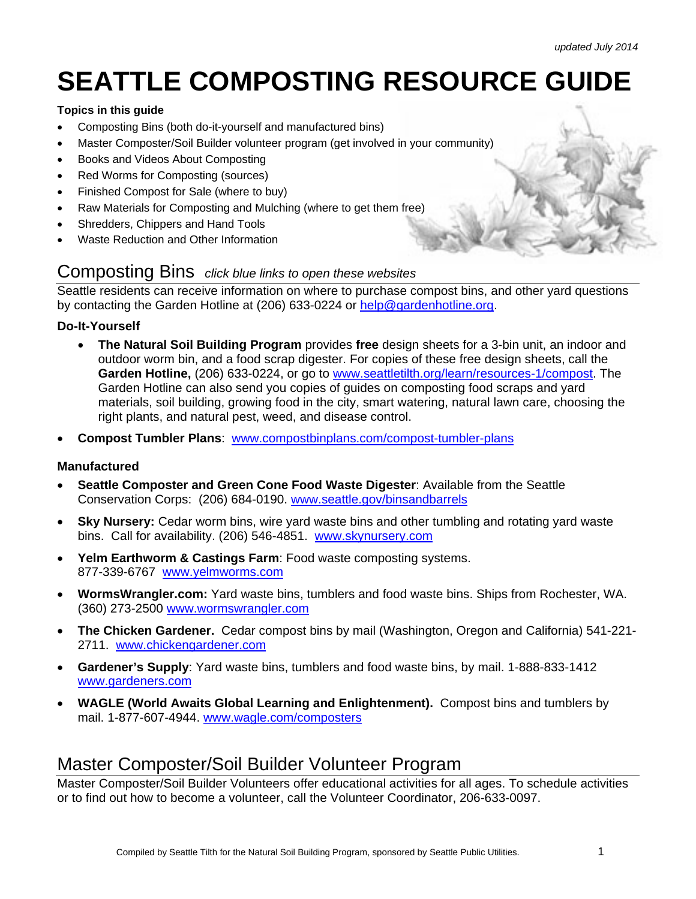# **SEATTLE COMPOSTING RESOURCE GUIDE**

#### **Topics in this guide**

- Composting Bins (both do-it-yourself and manufactured bins)
- Master Composter/Soil Builder volunteer program (get involved in your community)
- Books and Videos About Composting
- Red Worms for Composting (sources)
- Finished Compost for Sale (where to buy)
- Raw Materials for Composting and Mulching (where to get them free)
- Shredders, Chippers and Hand Tools
- Waste Reduction and Other Information

#### Composting Bins *click blue links to open these websites*

Seattle residents can receive information on where to purchase compost bins, and other yard questions by contacting the Garden Hotline at (206) 633-0224 or help@gardenhotline.org.

#### **Do-It-Yourself**

- **The Natural Soil Building Program** provides **free** design sheets for a 3-bin unit, an indoor and outdoor worm bin, and a food scrap digester. For copies of these free design sheets, call the **Garden Hotline,** (206) 633-0224, or go to www.seattletilth.org/learn/resources-1/compost. The Garden Hotline can also send you copies of guides on composting food scraps and yard materials, soil building, growing food in the city, smart watering, natural lawn care, choosing the right plants, and natural pest, weed, and disease control.
- **Compost Tumbler Plans**: www.compostbinplans.com/compost-tumbler-plans

#### **Manufactured**

- **Seattle Composter and Green Cone Food Waste Digester**: Available from the Seattle Conservation Corps: (206) 684-0190. www.seattle.gov/binsandbarrels
- **Sky Nursery:** Cedar worm bins, wire yard waste bins and other tumbling and rotating yard waste bins. Call for availability. (206) 546-4851. www.skynursery.com
- **Yelm Earthworm & Castings Farm**: Food waste composting systems. 877-339-6767 www.yelmworms.com
- **WormsWrangler.com:** Yard waste bins, tumblers and food waste bins. Ships from Rochester, WA. (360) 273-2500 www.wormswrangler.com
- **The Chicken Gardener.** Cedar compost bins by mail (Washington, Oregon and California) 541-221- 2711. www.chickengardener.com
- **Gardener's Supply**: Yard waste bins, tumblers and food waste bins, by mail. 1-888-833-1412 www.gardeners.com
- **WAGLE (World Awaits Global Learning and Enlightenment).** Compost bins and tumblers by mail. 1-877-607-4944. www.wagle.com/composters

#### Master Composter/Soil Builder Volunteer Program

Master Composter/Soil Builder Volunteers offer educational activities for all ages. To schedule activities or to find out how to become a volunteer, call the Volunteer Coordinator, 206-633-0097.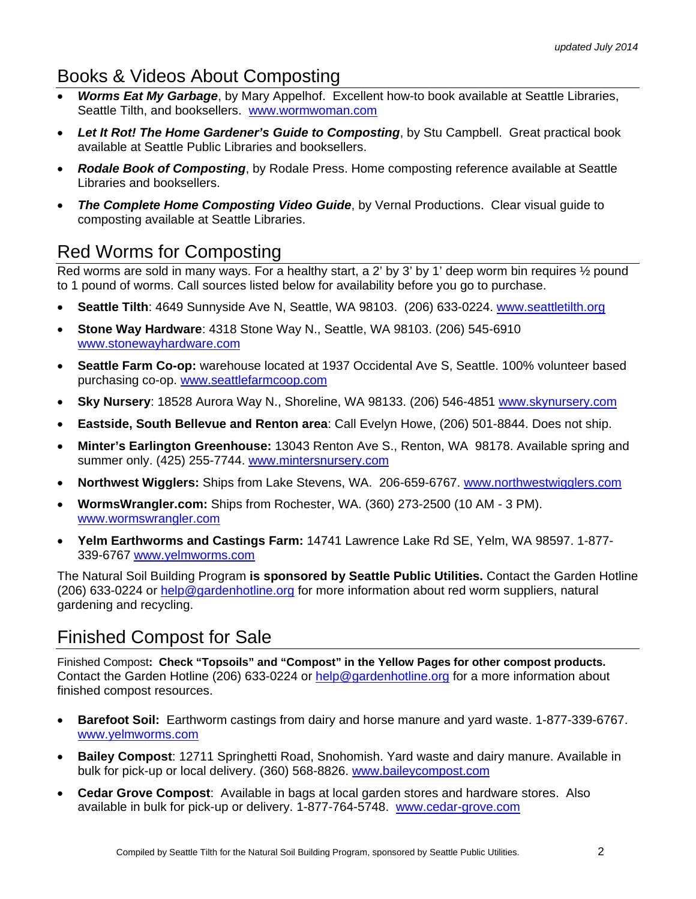## Books & Videos About Composting

- *Worms Eat My Garbage*, by Mary Appelhof. Excellent how-to book available at Seattle Libraries, Seattle Tilth, and booksellers. www.wormwoman.com
- *Let It Rot! The Home Gardener's Guide to Composting*, by Stu Campbell. Great practical book available at Seattle Public Libraries and booksellers.
- *Rodale Book of Composting*, by Rodale Press. Home composting reference available at Seattle Libraries and booksellers.
- *The Complete Home Composting Video Guide*, by Vernal Productions. Clear visual guide to composting available at Seattle Libraries.

## Red Worms for Composting

Red worms are sold in many ways. For a healthy start, a 2' by 3' by 1' deep worm bin requires 1/2 pound to 1 pound of worms. Call sources listed below for availability before you go to purchase.

- **Seattle Tilth**: 4649 Sunnyside Ave N, Seattle, WA 98103. (206) 633-0224. www.seattletilth.org
- **Stone Way Hardware**: 4318 Stone Way N., Seattle, WA 98103. (206) 545-6910 www.stonewayhardware.com
- **Seattle Farm Co-op:** warehouse located at 1937 Occidental Ave S, Seattle. 100% volunteer based purchasing co-op. www.seattlefarmcoop.com
- **Sky Nursery**: 18528 Aurora Way N., Shoreline, WA 98133. (206) 546-4851 www.skynursery.com
- **Eastside, South Bellevue and Renton area**: Call Evelyn Howe, (206) 501-8844. Does not ship.
- **Minter's Earlington Greenhouse:** 13043 Renton Ave S., Renton, WA 98178. Available spring and summer only. (425) 255-7744. www.mintersnursery.com
- **Northwest Wigglers:** Ships from Lake Stevens, WA. 206-659-6767. www.northwestwigglers.com
- **WormsWrangler.com:** Ships from Rochester, WA. (360) 273-2500 (10 AM 3 PM). www.wormswrangler.com
- **Yelm Earthworms and Castings Farm:** 14741 Lawrence Lake Rd SE, Yelm, WA 98597. 1-877- 339-6767 www.yelmworms.com

The Natural Soil Building Program **is sponsored by Seattle Public Utilities.** Contact the Garden Hotline (206) 633-0224 or help@gardenhotline.org for more information about red worm suppliers, natural gardening and recycling.

# Finished Compost for Sale

Finished Compost**: Check "Topsoils" and "Compost" in the Yellow Pages for other compost products.**  Contact the Garden Hotline (206) 633-0224 or help@gardenhotline.org for a more information about finished compost resources.

- **Barefoot Soil:** Earthworm castings from dairy and horse manure and yard waste. 1-877-339-6767. www.yelmworms.com
- **Bailey Compost**: 12711 Springhetti Road, Snohomish. Yard waste and dairy manure. Available in bulk for pick-up or local delivery. (360) 568-8826. www.baileycompost.com
- **Cedar Grove Compost**: Available in bags at local garden stores and hardware stores. Also available in bulk for pick-up or delivery. 1-877-764-5748. www.cedar-grove.com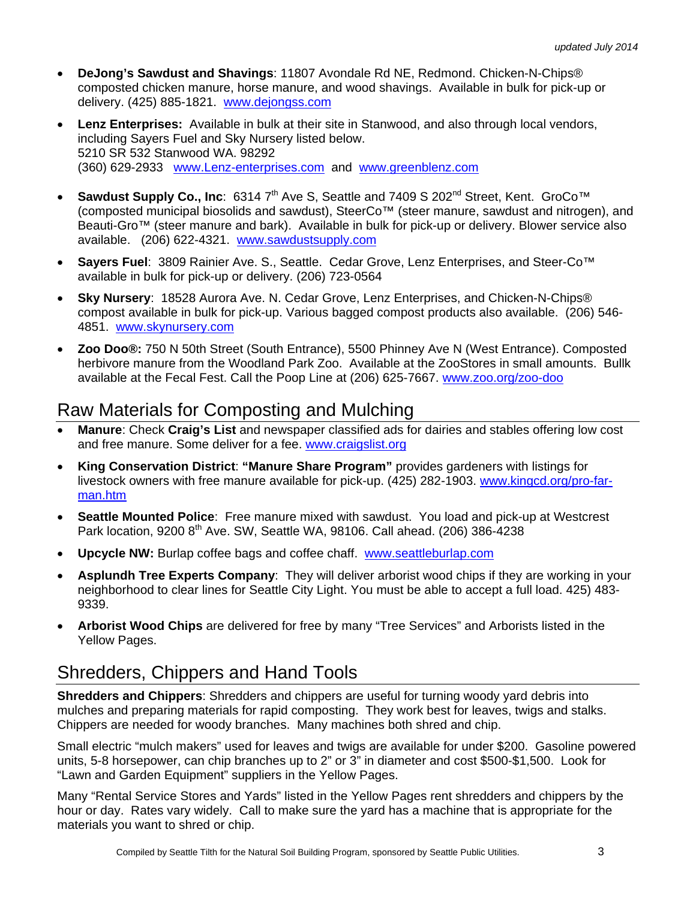- **DeJong's Sawdust and Shavings**: 11807 Avondale Rd NE, Redmond. Chicken-N-Chips® composted chicken manure, horse manure, and wood shavings. Available in bulk for pick-up or delivery. (425) 885-1821. www.dejongss.com
- **Lenz Enterprises:** Available in bulk at their site in Stanwood, and also through local vendors, including Sayers Fuel and Sky Nursery listed below. 5210 SR 532 Stanwood WA. 98292 (360) 629-2933 www.Lenz-enterprises.com and www.greenblenz.com
- Sawdust Supply Co., Inc: 6314 7<sup>th</sup> Ave S, Seattle and 7409 S 202<sup>nd</sup> Street, Kent. GroCo<sup>™</sup> (composted municipal biosolids and sawdust), SteerCo™ (steer manure, sawdust and nitrogen), and Beauti-Gro™ (steer manure and bark). Available in bulk for pick-up or delivery. Blower service also available. (206) 622-4321. www.sawdustsupply.com
- **Sayers Fuel**: 3809 Rainier Ave. S., Seattle. Cedar Grove, Lenz Enterprises, and Steer-Co™ available in bulk for pick-up or delivery. (206) 723-0564
- **Sky Nursery**: 18528 Aurora Ave. N. Cedar Grove, Lenz Enterprises, and Chicken-N-Chips® compost available in bulk for pick-up. Various bagged compost products also available. (206) 546- 4851. www.skynursery.com
- **Zoo Doo®:** 750 N 50th Street (South Entrance), 5500 Phinney Ave N (West Entrance). Composted herbivore manure from the Woodland Park Zoo. Available at the ZooStores in small amounts. Bullk available at the Fecal Fest. Call the Poop Line at (206) 625-7667. www.zoo.org/zoo-doo

# Raw Materials for Composting and Mulching

- **Manure**: Check **Craig's List** and newspaper classified ads for dairies and stables offering low cost and free manure. Some deliver for a fee. www.craigslist.org
- **King Conservation District**: **"Manure Share Program"** provides gardeners with listings for livestock owners with free manure available for pick-up. (425) 282-1903. www.kingcd.org/pro-farman.htm
- **Seattle Mounted Police**: Free manure mixed with sawdust. You load and pick-up at Westcrest Park location, 9200 8<sup>th</sup> Ave. SW, Seattle WA, 98106. Call ahead. (206) 386-4238
- **Upcycle NW:** Burlap coffee bags and coffee chaff. www.seattleburlap.com
- **Asplundh Tree Experts Company**: They will deliver arborist wood chips if they are working in your neighborhood to clear lines for Seattle City Light. You must be able to accept a full load. 425) 483- 9339.
- **Arborist Wood Chips** are delivered for free by many "Tree Services" and Arborists listed in the Yellow Pages.

# Shredders, Chippers and Hand Tools

**Shredders and Chippers**: Shredders and chippers are useful for turning woody yard debris into mulches and preparing materials for rapid composting. They work best for leaves, twigs and stalks. Chippers are needed for woody branches. Many machines both shred and chip.

Small electric "mulch makers" used for leaves and twigs are available for under \$200. Gasoline powered units, 5-8 horsepower, can chip branches up to 2" or 3" in diameter and cost \$500-\$1,500. Look for "Lawn and Garden Equipment" suppliers in the Yellow Pages.

Many "Rental Service Stores and Yards" listed in the Yellow Pages rent shredders and chippers by the hour or day. Rates vary widely. Call to make sure the yard has a machine that is appropriate for the materials you want to shred or chip.